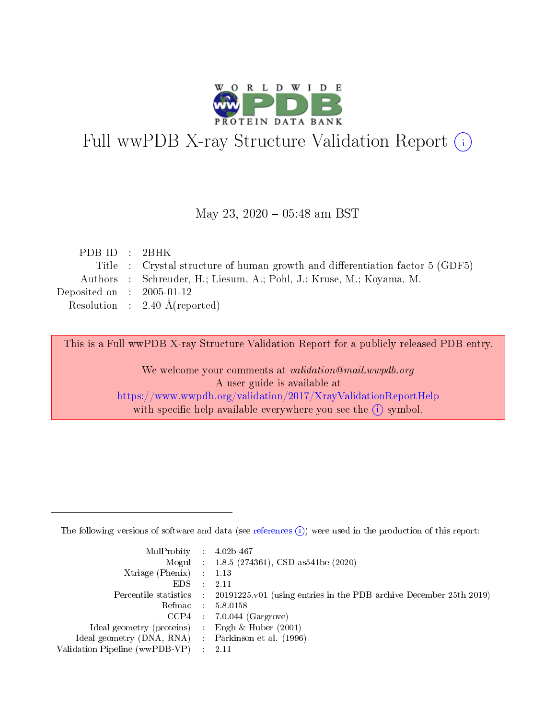

# Full wwPDB X-ray Structure Validation Report (i)

### May 23,  $2020 - 05:48$  am BST

| PDBID : 2BHK                |                                                                               |
|-----------------------------|-------------------------------------------------------------------------------|
|                             | Title : Crystal structure of human growth and differentiation factor 5 (GDF5) |
|                             | Authors : Schreuder, H.; Liesum, A.; Pohl, J.; Kruse, M.; Koyama, M.          |
| Deposited on : $2005-01-12$ |                                                                               |
|                             | Resolution : $2.40 \text{ Å}$ (reported)                                      |
|                             |                                                                               |

This is a Full wwPDB X-ray Structure Validation Report for a publicly released PDB entry.

We welcome your comments at validation@mail.wwpdb.org A user guide is available at <https://www.wwpdb.org/validation/2017/XrayValidationReportHelp> with specific help available everywhere you see the  $(i)$  symbol.

The following versions of software and data (see [references](https://www.wwpdb.org/validation/2017/XrayValidationReportHelp#references)  $(1)$ ) were used in the production of this report:

| MolProbity : $4.02b-467$                            |                                                                                            |
|-----------------------------------------------------|--------------------------------------------------------------------------------------------|
|                                                     | Mogul : $1.8.5$ (274361), CSD as 541be (2020)                                              |
| $Xtriangle (Phenix)$ : 1.13                         |                                                                                            |
| $EDS$ :                                             | -2.11                                                                                      |
|                                                     | Percentile statistics : 20191225.v01 (using entries in the PDB archive December 25th 2019) |
| Refmac : 5.8.0158                                   |                                                                                            |
|                                                     | $CCP4$ 7.0.044 (Gargrove)                                                                  |
| Ideal geometry (proteins) : Engh $\&$ Huber (2001)  |                                                                                            |
| Ideal geometry (DNA, RNA) : Parkinson et al. (1996) |                                                                                            |
| Validation Pipeline (wwPDB-VP) : 2.11               |                                                                                            |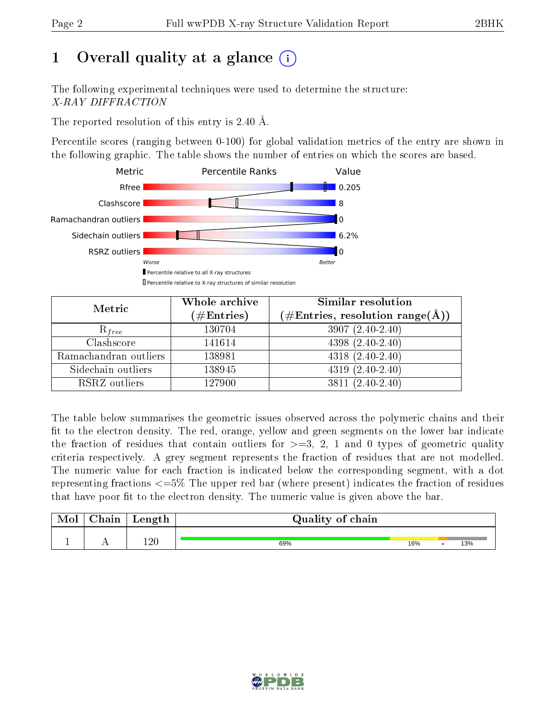# 1 [O](https://www.wwpdb.org/validation/2017/XrayValidationReportHelp#overall_quality)verall quality at a glance  $(i)$

The following experimental techniques were used to determine the structure: X-RAY DIFFRACTION

The reported resolution of this entry is 2.40 Å.

Percentile scores (ranging between 0-100) for global validation metrics of the entry are shown in the following graphic. The table shows the number of entries on which the scores are based.



| Metric                | Whole archive<br>$(\#\text{Entries})$ | Similar resolution<br>$(\#\text{Entries},\,\text{resolution}\,\,\text{range}(\textup{\AA}))$ |
|-----------------------|---------------------------------------|----------------------------------------------------------------------------------------------|
| $R_{free}$            | 130704                                | $3907(2.40-2.40)$                                                                            |
| Clashscore            | 141614                                | $4398(2.40-2.40)$                                                                            |
| Ramachandran outliers | 138981                                | $4318(2.40-2.40)$                                                                            |
| Sidechain outliers    | 138945                                | $4319(2.40-2.40)$                                                                            |
| RSRZ outliers         | 127900                                | $3811(2.40-2.40)$                                                                            |

The table below summarises the geometric issues observed across the polymeric chains and their fit to the electron density. The red, orange, yellow and green segments on the lower bar indicate the fraction of residues that contain outliers for  $>=3, 2, 1$  and 0 types of geometric quality criteria respectively. A grey segment represents the fraction of residues that are not modelled. The numeric value for each fraction is indicated below the corresponding segment, with a dot representing fractions <=5% The upper red bar (where present) indicates the fraction of residues that have poor fit to the electron density. The numeric value is given above the bar.

| Mol           | $\gamma$ hain | Length | Quality of chain |     |  |     |  |
|---------------|---------------|--------|------------------|-----|--|-----|--|
| <u>. на п</u> | . .           | 1 വ    | 69%              | 16% |  | 13% |  |

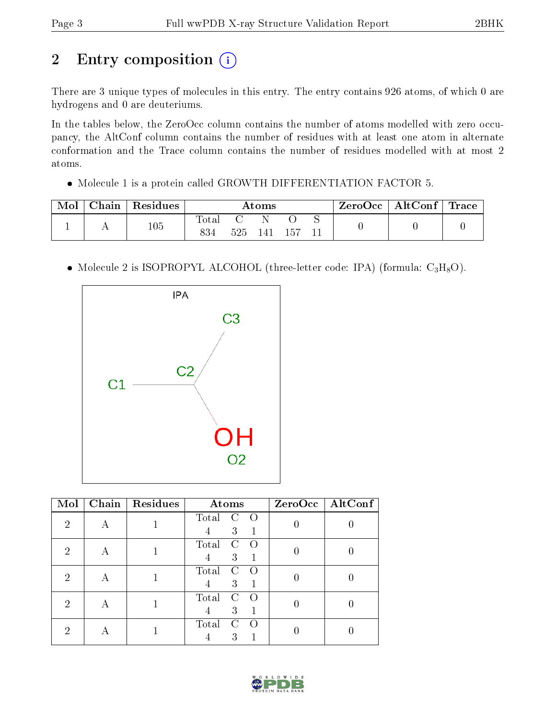# 2 Entry composition (i)

There are 3 unique types of molecules in this entry. The entry contains 926 atoms, of which 0 are hydrogens and 0 are deuteriums.

In the tables below, the ZeroOcc column contains the number of atoms modelled with zero occupancy, the AltConf column contains the number of residues with at least one atom in alternate conformation and the Trace column contains the number of residues modelled with at most 2 atoms.

Molecule 1 is a protein called GROWTH DIFFERENTIATION FACTOR 5.

| Mol | Chain | Residues | $\rm{Atoms}$       |     |     |      | ZeroOcc   AltConf   Trace |  |  |
|-----|-------|----------|--------------------|-----|-----|------|---------------------------|--|--|
|     |       | 105      | $\rm Total$<br>834 | 525 | 141 | -157 |                           |  |  |

• Molecule 2 is ISOPROPYL ALCOHOL (three-letter code: IPA) (formula:  $C_3H_8O$ ).



| Mol |   | Chain   Residues | Atoms                                    | ZeroOcc   AltConf |
|-----|---|------------------|------------------------------------------|-------------------|
| 2   |   |                  | Total<br>$\bigcap$<br>C<br>3<br>4        |                   |
| 2   |   |                  | Total<br>C<br>$\left( \right)$<br>3<br>4 |                   |
| റ   |   |                  | Total<br>C<br>$\left($ )<br>3<br>4       |                   |
| 2   | А |                  | Total<br>C<br>$\left( \right)$<br>3<br>4 |                   |
| ച   |   |                  | Total<br>$\mathcal{C}$<br>$\left($<br>3  |                   |

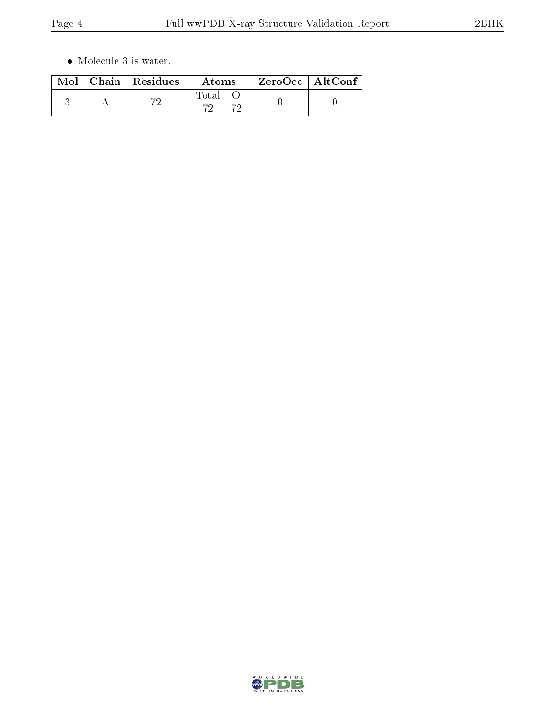$\bullet\,$  Molecule 3 is water.

|  | $\text{Mol}$   Chain   Residues | Atoms        | $ZeroOcc \mid AltConf \mid$ |  |
|--|---------------------------------|--------------|-----------------------------|--|
|  | 70                              | Total<br>70. |                             |  |

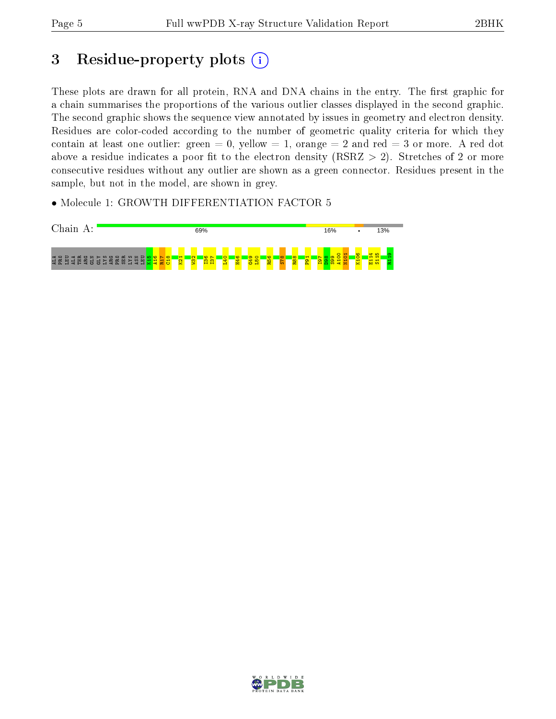# 3 Residue-property plots (i)

These plots are drawn for all protein, RNA and DNA chains in the entry. The first graphic for a chain summarises the proportions of the various outlier classes displayed in the second graphic. The second graphic shows the sequence view annotated by issues in geometry and electron density. Residues are color-coded according to the number of geometric quality criteria for which they contain at least one outlier: green  $= 0$ , yellow  $= 1$ , orange  $= 2$  and red  $= 3$  or more. A red dot above a residue indicates a poor fit to the electron density (RSRZ  $> 2$ ). Stretches of 2 or more consecutive residues without any outlier are shown as a green connector. Residues present in the sample, but not in the model, are shown in grey.

• Molecule 1: GROWTH DIFFERENTIATION FACTOR 5



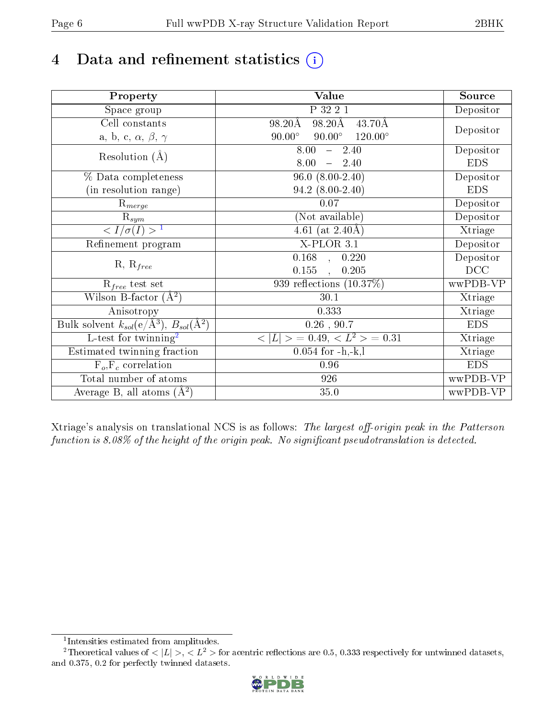# 4 Data and refinement statistics  $(i)$

| Property                                                             | Value                                            | Source     |
|----------------------------------------------------------------------|--------------------------------------------------|------------|
| Space group                                                          | P 32 2 1                                         | Depositor  |
| Cell constants                                                       | 98.20Å<br>98.20Å<br>$43.70\text{\AA}$            |            |
| a, b, c, $\alpha$ , $\beta$ , $\gamma$                               | $90.00^\circ$<br>$90.00^\circ$<br>$120.00^\circ$ | Depositor  |
| Resolution $(A)$                                                     | 8.00<br>$-2.40$                                  | Depositor  |
|                                                                      | 8.00<br>$-2.40$                                  | <b>EDS</b> |
| % Data completeness                                                  | $96.0 (8.00 - 2.40)$                             | Depositor  |
| (in resolution range)                                                | 94.2 (8.00-2.40)                                 | <b>EDS</b> |
| $R_{merge}$                                                          | 0.07                                             | Depositor  |
| $\mathrm{R}_{sym}$                                                   | (Not available)                                  | Depositor  |
| $\langle I/\sigma(I) \rangle^{-1}$                                   | 4.61 (at $2.40\text{\AA}$ )                      | Xtriage    |
| Refinement program                                                   | $X$ -PLOR $3.1$                                  | Depositor  |
|                                                                      | $0.168$ ,<br>0.220                               | Depositor  |
| $R, R_{free}$                                                        | 0.155<br>0.205<br>$\ddot{\phantom{a}}$           | DCC        |
| $R_{free}$ test set                                                  | 939 reflections $(10.37\%)$                      | wwPDB-VP   |
| Wilson B-factor $(A^2)$                                              | 30.1                                             | Xtriage    |
| Anisotropy                                                           | 0.333                                            | Xtriage    |
| Bulk solvent $k_{sol}(e/\mathring{A}^3)$ , $B_{sol}(\mathring{A}^2)$ | $0.26$ , 90.7                                    | <b>EDS</b> |
| L-test for twinning <sup>2</sup>                                     | $< L >$ = 0.49, $< L2$ = 0.31                    | Xtriage    |
| Estimated twinning fraction                                          | $0.054$ for $-h,-k,l$                            | Xtriage    |
| $F_o, F_c$ correlation                                               | 0.96                                             | <b>EDS</b> |
| Total number of atoms                                                | 926                                              | wwPDB-VP   |
| Average B, all atoms $(A^2)$                                         | 35.0                                             | wwPDB-VP   |

Xtriage's analysis on translational NCS is as follows: The largest off-origin peak in the Patterson function is  $8.08\%$  of the height of the origin peak. No significant pseudotranslation is detected.

<sup>&</sup>lt;sup>2</sup>Theoretical values of  $\langle |L| \rangle$ ,  $\langle L^2 \rangle$  for acentric reflections are 0.5, 0.333 respectively for untwinned datasets, and 0.375, 0.2 for perfectly twinned datasets.



<span id="page-5-1"></span><span id="page-5-0"></span><sup>1</sup> Intensities estimated from amplitudes.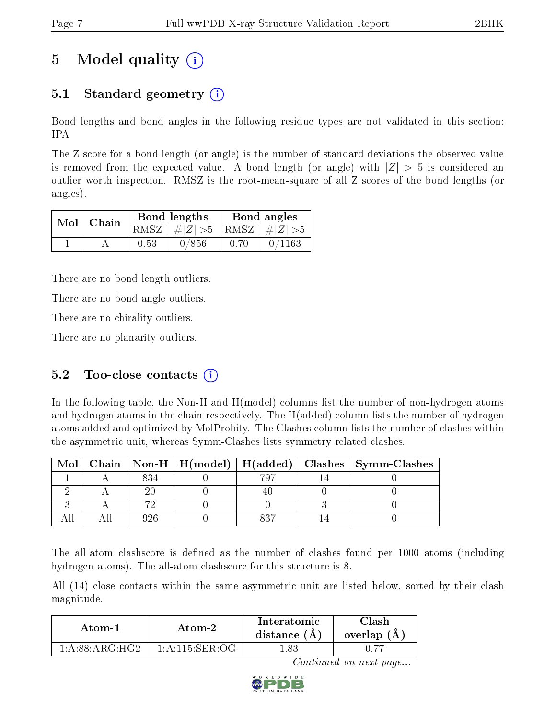# 5 Model quality  $(i)$

### 5.1 Standard geometry  $\overline{()}$

Bond lengths and bond angles in the following residue types are not validated in this section: IPA

The Z score for a bond length (or angle) is the number of standard deviations the observed value is removed from the expected value. A bond length (or angle) with  $|Z| > 5$  is considered an outlier worth inspection. RMSZ is the root-mean-square of all Z scores of the bond lengths (or angles).

|  | $Mol$   Chain |      | Bond lengths                    | Bond angles |        |  |
|--|---------------|------|---------------------------------|-------------|--------|--|
|  |               |      | RMSZ $ #Z  > 5$ RMSZ $ #Z  > 5$ |             |        |  |
|  |               | 0.53 | 0/856                           | 0.70        | 0/1163 |  |

There are no bond length outliers.

There are no bond angle outliers.

There are no chirality outliers.

There are no planarity outliers.

### 5.2 Too-close contacts  $(i)$

In the following table, the Non-H and H(model) columns list the number of non-hydrogen atoms and hydrogen atoms in the chain respectively. The H(added) column lists the number of hydrogen atoms added and optimized by MolProbity. The Clashes column lists the number of clashes within the asymmetric unit, whereas Symm-Clashes lists symmetry related clashes.

| Mol |  |  | Chain   Non-H   H(model)   H(added)   Clashes   Symm-Clashes |
|-----|--|--|--------------------------------------------------------------|
|     |  |  |                                                              |
|     |  |  |                                                              |
|     |  |  |                                                              |
|     |  |  |                                                              |

The all-atom clashscore is defined as the number of clashes found per 1000 atoms (including hydrogen atoms). The all-atom clashscore for this structure is 8.

All (14) close contacts within the same asymmetric unit are listed below, sorted by their clash magnitude.

| Atom-1                          | Atom-2                                   | Interatomic<br>distance $(A)$ | Clash<br>overlap $(A)$ |  |
|---------------------------------|------------------------------------------|-------------------------------|------------------------|--|
| 1: A:88: A R G·H G <sub>2</sub> | $1 \cdot A \cdot 115 \cdot SER \cdot OG$ | .83                           |                        |  |

Continued on next page...

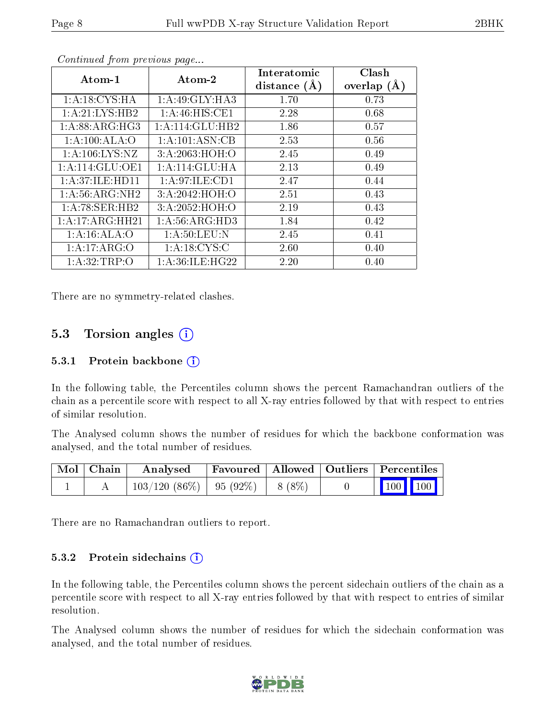| Atom-1             | Atom-2             | Interatomic    | Clash          |
|--------------------|--------------------|----------------|----------------|
|                    |                    | distance $(A)$ | (A)<br>overlap |
| 1: A:18:CYS:HA     | 1:A:49:GLY:HA3     | 1.70           | 0.73           |
| 1: A:21: LYS: HB2  | 1: A:46: HIS: CE1  | 2.28           | 0.68           |
| 1: A:88: ARG: HG3  | 1:A:114:GLU:HB2    | 1.86           | 0.57           |
| 1:A:100:ALA:O      | 1: A:101: ASN:CB   | 2.53           | 0.56           |
| 1: A: 106: LYS: NZ | 3:A:2063:HOH:O     | 2.45           | 0.49           |
| 1: A:114: GLU:OE1  | 1: A:114: GLU: HA  | 2.13           | 0.49           |
| 1:A:37:ILE:HD11    | 1:A:97:ILE:CD1     | 2.47           | 0.44           |
| 1: A:56: ARG: NH2  | 3:A:2042:HOH:O     | 2.51           | 0.43           |
| 1:A:78:SER:HB2     | 3:A:2052:HOH:O     | 2.19           | 0.43           |
| 1:A:17:ARG:HH21    | 1: A:56: ARG:HD3   | 1.84           | 0.42           |
| 1:A:16:ALA:O       | 1: A:50:LEU:N      | 2.45           | 0.41           |
| 1:A:17:ARG:O       | 1: A: 18: CYS: C   | 2.60           | 0.40           |
| 1: A:32:TRP:O      | 1: A:36: ILE: HG22 | 2.20           | 0.40           |

Continued from previous page...

There are no symmetry-related clashes.

#### 5.3 Torsion angles  $(i)$

#### 5.3.1 Protein backbone (i)

In the following table, the Percentiles column shows the percent Ramachandran outliers of the chain as a percentile score with respect to all X-ray entries followed by that with respect to entries of similar resolution.

The Analysed column shows the number of residues for which the backbone conformation was analysed, and the total number of residues.

| Mol   Chain | Analysed                               |  | Favoured   Allowed   Outliers   Percentiles |                         |
|-------------|----------------------------------------|--|---------------------------------------------|-------------------------|
|             | $103/120$ (86\%)   95 (92\%)   8 (8\%) |  |                                             | $\vert$ 100 100 $\vert$ |

There are no Ramachandran outliers to report.

#### 5.3.2 Protein sidechains  $(i)$

In the following table, the Percentiles column shows the percent sidechain outliers of the chain as a percentile score with respect to all X-ray entries followed by that with respect to entries of similar resolution.

The Analysed column shows the number of residues for which the sidechain conformation was analysed, and the total number of residues.

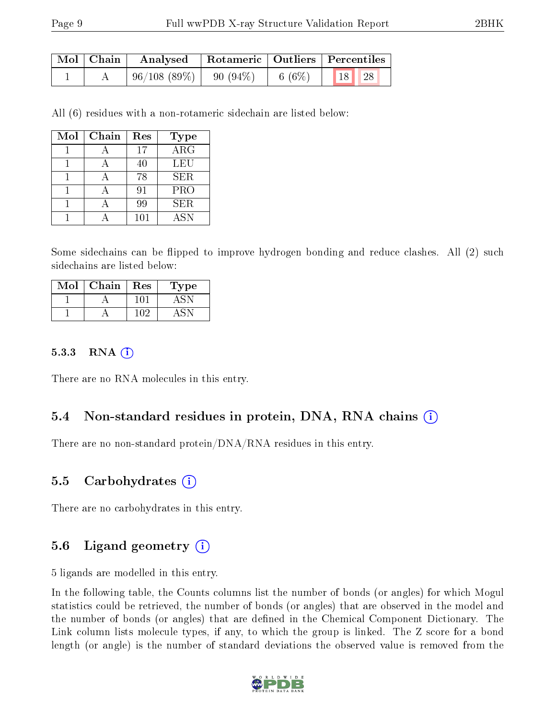|  | Mol   Chain   Analysed   Rotameric   Outliers   Percentiles                                              |  |       |  |  |
|--|----------------------------------------------------------------------------------------------------------|--|-------|--|--|
|  | $\begin{array}{ c c c c c c c c c } \hline 96/108 & (89\%) & 90 & (94\%) & 6 & (6\%) \hline \end{array}$ |  | 18 28 |  |  |

All (6) residues with a non-rotameric sidechain are listed below:

| Mol | Chain | Res | <b>Type</b> |
|-----|-------|-----|-------------|
|     |       | 17  | ARG         |
|     |       | 40  | LEU         |
|     |       | 78  | <b>SER</b>  |
|     |       | 91  | <b>PRO</b>  |
|     |       | 99  | SER.        |
|     |       | 101 | <b>ASN</b>  |

Some sidechains can be flipped to improve hydrogen bonding and reduce clashes. All (2) such sidechains are listed below:

| $\operatorname{Mol}$ | Chain | Res | L'ype |
|----------------------|-------|-----|-------|
|                      |       |     |       |
|                      |       |     |       |

#### 5.3.3 RNA (1)

There are no RNA molecules in this entry.

#### 5.4 Non-standard residues in protein, DNA, RNA chains (i)

There are no non-standard protein/DNA/RNA residues in this entry.

#### 5.5 Carbohydrates (i)

There are no carbohydrates in this entry.

### 5.6 Ligand geometry (i)

5 ligands are modelled in this entry.

In the following table, the Counts columns list the number of bonds (or angles) for which Mogul statistics could be retrieved, the number of bonds (or angles) that are observed in the model and the number of bonds (or angles) that are defined in the Chemical Component Dictionary. The Link column lists molecule types, if any, to which the group is linked. The Z score for a bond length (or angle) is the number of standard deviations the observed value is removed from the

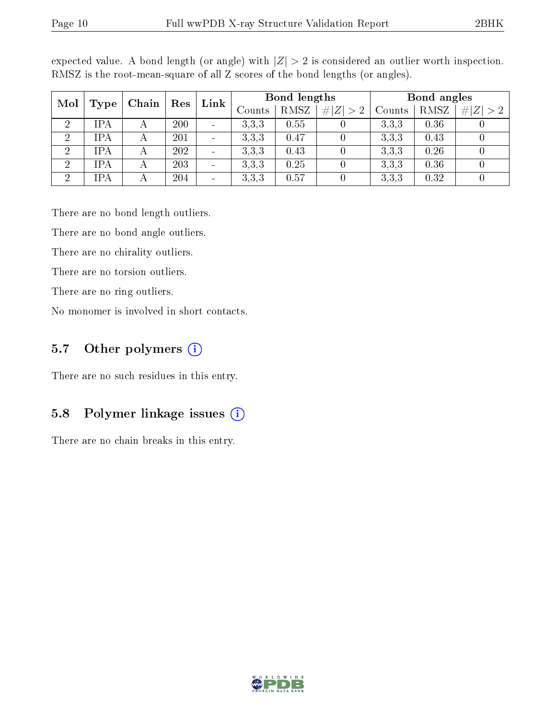| Mol            | <b>Type</b> | Chain | Res | Link                     | Bond lengths  |      |             | Bond angles |             |                 |
|----------------|-------------|-------|-----|--------------------------|---------------|------|-------------|-------------|-------------|-----------------|
|                |             |       |     |                          | $\rm{Counts}$ | RMSZ | # $ Z  > 2$ | Counts      | <b>RMSZ</b> | # <br> Z <br>>2 |
|                | IPA         |       | 200 | $\overline{\phantom{0}}$ | 3.3.3         | 0.55 |             | 3,3,3       | 0.36        |                 |
| $\overline{2}$ | IPA         |       | 201 | $\overline{\phantom{0}}$ | 3.3.3         | 0.47 |             | 3.3.3       | 0.43        |                 |
| $\overline{2}$ | IPA         |       | 202 | $\overline{\phantom{0}}$ | 3,3,3         | 0.43 |             | 3,3,3       | 0.26        |                 |
| ച              | IPA         |       | 203 | $\overline{\phantom{0}}$ | 3.3.3         | 0.25 |             | 3.3.3       | 0.36        |                 |
| ച              | IPA         |       | 204 | $\overline{\phantom{0}}$ | 3,3,3         | 0.57 |             | 3,3,3       | 0.32        |                 |

expected value. A bond length (or angle) with  $|Z| > 2$  is considered an outlier worth inspection. RMSZ is the root-mean-square of all Z scores of the bond lengths (or angles).

There are no bond length outliers.

There are no bond angle outliers.

There are no chirality outliers.

There are no torsion outliers.

There are no ring outliers.

No monomer is involved in short contacts.

#### 5.7 [O](https://www.wwpdb.org/validation/2017/XrayValidationReportHelp#nonstandard_residues_and_ligands)ther polymers (i)

There are no such residues in this entry.

#### 5.8 Polymer linkage issues  $(i)$

There are no chain breaks in this entry.